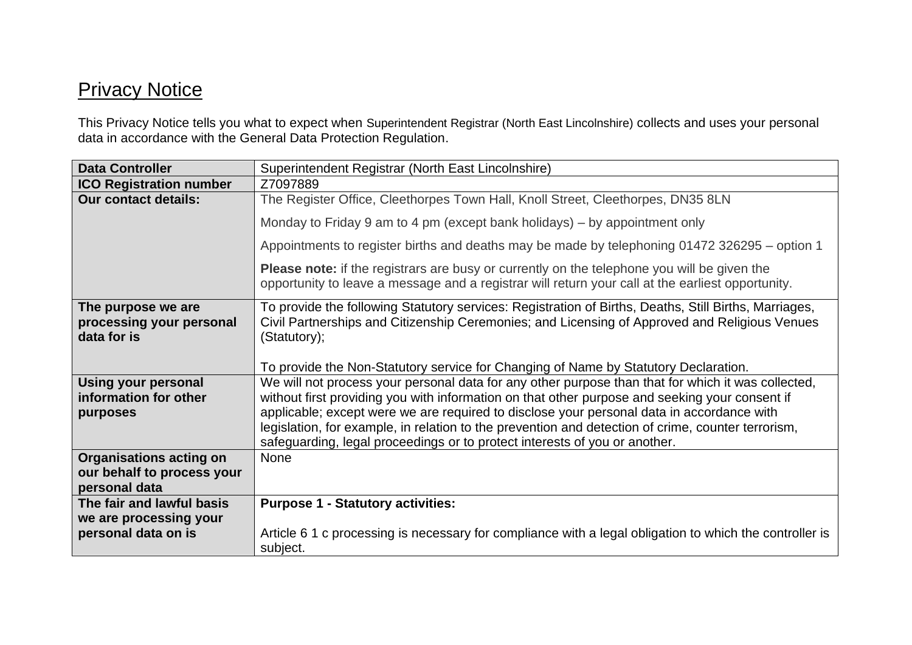## **Privacy Notice**

This Privacy Notice tells you what to expect when Superintendent Registrar (North East Lincolnshire) collects and uses your personal data in accordance with the General Data Protection Regulation.

| <b>Data Controller</b>                                                        | Superintendent Registrar (North East Lincolnshire)                                                                                                                                                                                                                                                                                                                                                                                                                                    |
|-------------------------------------------------------------------------------|---------------------------------------------------------------------------------------------------------------------------------------------------------------------------------------------------------------------------------------------------------------------------------------------------------------------------------------------------------------------------------------------------------------------------------------------------------------------------------------|
| <b>ICO Registration number</b>                                                | Z7097889                                                                                                                                                                                                                                                                                                                                                                                                                                                                              |
| <b>Our contact details:</b>                                                   | The Register Office, Cleethorpes Town Hall, Knoll Street, Cleethorpes, DN35 8LN                                                                                                                                                                                                                                                                                                                                                                                                       |
|                                                                               | Monday to Friday 9 am to 4 pm (except bank holidays) – by appointment only                                                                                                                                                                                                                                                                                                                                                                                                            |
|                                                                               | Appointments to register births and deaths may be made by telephoning 01472 326295 – option 1                                                                                                                                                                                                                                                                                                                                                                                         |
|                                                                               | <b>Please note:</b> if the registrars are busy or currently on the telephone you will be given the<br>opportunity to leave a message and a registrar will return your call at the earliest opportunity.                                                                                                                                                                                                                                                                               |
| The purpose we are<br>processing your personal<br>data for is                 | To provide the following Statutory services: Registration of Births, Deaths, Still Births, Marriages,<br>Civil Partnerships and Citizenship Ceremonies; and Licensing of Approved and Religious Venues<br>(Statutory);<br>To provide the Non-Statutory service for Changing of Name by Statutory Declaration.                                                                                                                                                                         |
| <b>Using your personal</b><br>information for other<br>purposes               | We will not process your personal data for any other purpose than that for which it was collected,<br>without first providing you with information on that other purpose and seeking your consent if<br>applicable; except were we are required to disclose your personal data in accordance with<br>legislation, for example, in relation to the prevention and detection of crime, counter terrorism,<br>safeguarding, legal proceedings or to protect interests of you or another. |
| <b>Organisations acting on</b><br>our behalf to process your<br>personal data | <b>None</b>                                                                                                                                                                                                                                                                                                                                                                                                                                                                           |
| The fair and lawful basis                                                     | <b>Purpose 1 - Statutory activities:</b>                                                                                                                                                                                                                                                                                                                                                                                                                                              |
| we are processing your                                                        |                                                                                                                                                                                                                                                                                                                                                                                                                                                                                       |
| personal data on is                                                           | Article 6.1 c processing is necessary for compliance with a legal obligation to which the controller is<br>subject.                                                                                                                                                                                                                                                                                                                                                                   |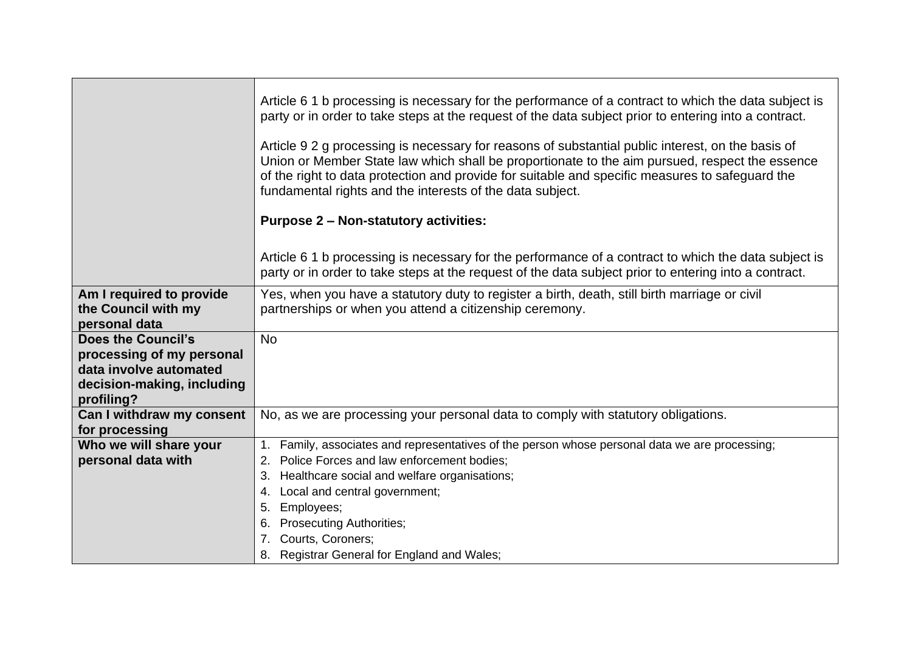|                                                                                                                              | Article 6.1 b processing is necessary for the performance of a contract to which the data subject is<br>party or in order to take steps at the request of the data subject prior to entering into a contract.<br>Article 9.2 g processing is necessary for reasons of substantial public interest, on the basis of<br>Union or Member State law which shall be proportionate to the aim pursued, respect the essence<br>of the right to data protection and provide for suitable and specific measures to safeguard the<br>fundamental rights and the interests of the data subject. |
|------------------------------------------------------------------------------------------------------------------------------|--------------------------------------------------------------------------------------------------------------------------------------------------------------------------------------------------------------------------------------------------------------------------------------------------------------------------------------------------------------------------------------------------------------------------------------------------------------------------------------------------------------------------------------------------------------------------------------|
|                                                                                                                              | <b>Purpose 2 - Non-statutory activities:</b>                                                                                                                                                                                                                                                                                                                                                                                                                                                                                                                                         |
|                                                                                                                              | Article 6.1 b processing is necessary for the performance of a contract to which the data subject is<br>party or in order to take steps at the request of the data subject prior to entering into a contract.                                                                                                                                                                                                                                                                                                                                                                        |
| Am I required to provide<br>the Council with my<br>personal data                                                             | Yes, when you have a statutory duty to register a birth, death, still birth marriage or civil<br>partnerships or when you attend a citizenship ceremony.                                                                                                                                                                                                                                                                                                                                                                                                                             |
| <b>Does the Council's</b><br>processing of my personal<br>data involve automated<br>decision-making, including<br>profiling? | <b>No</b>                                                                                                                                                                                                                                                                                                                                                                                                                                                                                                                                                                            |
| Can I withdraw my consent<br>for processing                                                                                  | No, as we are processing your personal data to comply with statutory obligations.                                                                                                                                                                                                                                                                                                                                                                                                                                                                                                    |
| Who we will share your<br>personal data with                                                                                 | 1. Family, associates and representatives of the person whose personal data we are processing;<br>2. Police Forces and law enforcement bodies;<br>Healthcare social and welfare organisations;<br>3.<br>Local and central government;<br>4.<br>Employees;<br>5.<br><b>Prosecuting Authorities;</b><br>6.<br>Courts, Coroners;<br>8. Registrar General for England and Wales;                                                                                                                                                                                                         |